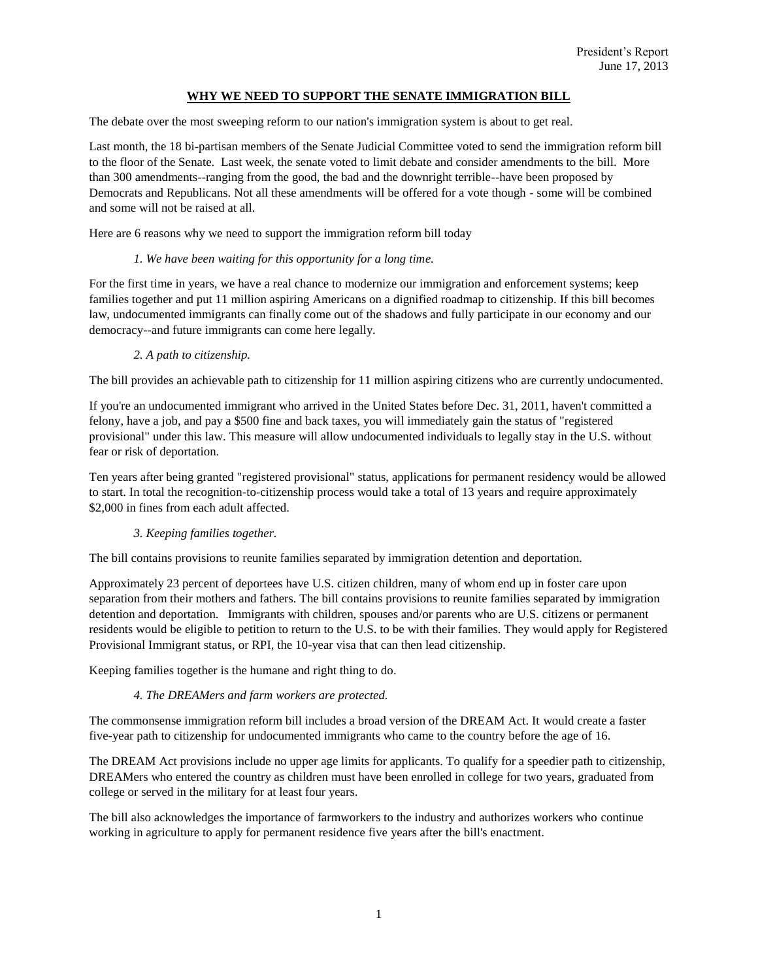### **WHY WE NEED TO SUPPORT THE SENATE IMMIGRATION BILL**

The debate over the most sweeping reform to our nation's immigration system is about to get real.

Last month, the 18 bi-partisan members of the Senate Judicial Committee voted to send the immigration reform bill to the floor of the Senate. Last week, the senate voted to limit debate and consider amendments to the bill. More than 300 amendments--ranging from the good, the bad and the downright terrible--have been proposed by Democrats and Republicans. Not all these amendments will be offered for a vote though - some will be combined and some will not be raised at all.

Here are 6 reasons why we need to support the immigration reform bill today

#### *1. We have been waiting for this opportunity for a long time.*

For the first time in years, we have a real chance to modernize our immigration and enforcement systems; keep families together and put 11 million aspiring Americans on a dignified roadmap to citizenship. If this bill becomes law, undocumented immigrants can finally come out of the shadows and fully participate in our economy and our democracy--and future immigrants can come here legally.

#### *2. A path to citizenship.*

The bill provides an achievable path to citizenship for 11 million aspiring citizens who are currently undocumented.

If you're an undocumented immigrant who arrived in the United States before Dec. 31, 2011, haven't committed a felony, have a job, and pay a \$500 fine and back taxes, you will immediately gain the status of "registered provisional" under this law. This measure will allow undocumented individuals to legally stay in the U.S. without fear or risk of deportation.

Ten years after being granted "registered provisional" status, applications for permanent residency would be allowed to start. In total the recognition-to-citizenship process would take a total of 13 years and require approximately \$2,000 in fines from each adult affected.

### *3. Keeping families together.*

The bill contains provisions to reunite families separated by immigration detention and deportation.

Approximately 23 percent of deportees have U.S. citizen children, many of whom end up in foster care upon separation from their mothers and fathers. The bill contains provisions to reunite families separated by immigration detention and deportation. Immigrants with children, spouses and/or parents who are U.S. citizens or permanent residents would be eligible to petition to return to the U.S. to be with their families. They would apply for Registered Provisional Immigrant status, or RPI, the 10-year visa that can then lead citizenship.

Keeping families together is the humane and right thing to do.

### *4. The DREAMers and farm workers are protected.*

The commonsense immigration reform bill includes a broad version of the DREAM Act. It would create a faster five-year path to citizenship for undocumented immigrants who came to the country before the age of 16.

The DREAM Act provisions include no upper age limits for applicants. To qualify for a speedier path to citizenship, DREAMers who entered the country as children must have been enrolled in college for two years, graduated from college or served in the military for at least four years.

The bill also acknowledges the importance of farmworkers to the industry and authorizes workers who continue working in agriculture to apply for permanent residence five years after the bill's enactment.